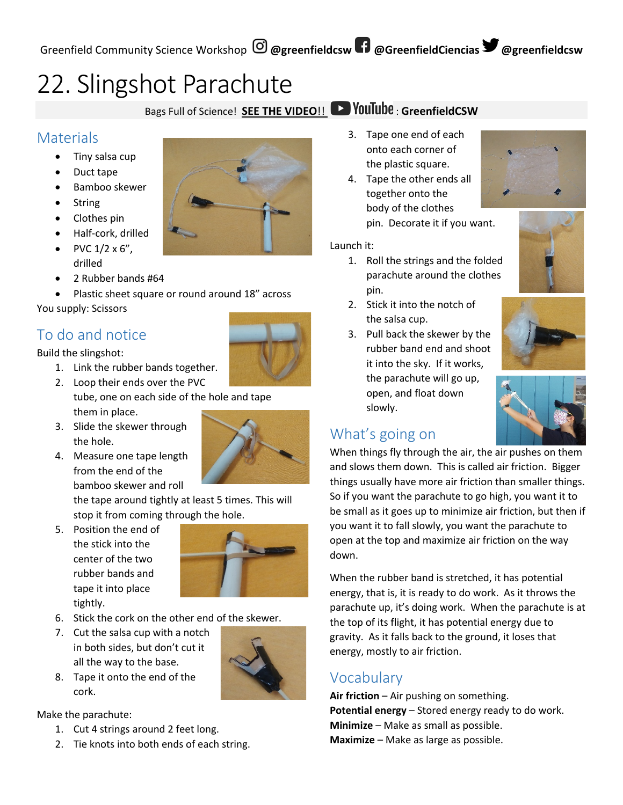# 22. Slingshot Parachute

Bags Full of Science! **SEE THE VIDEO!!** Development CreenfieldCSW

### **Materials**

- Tiny salsa cup
- Duct tape
- Bamboo skewer
- String
- Clothes pin
- Half-cork, drilled
- PVC  $1/2 \times 6$ ", drilled
- 2 Rubber bands #64
- Plastic sheet square or round around 18" across

You supply: Scissors

### To do and notice

Build the slingshot:

- 1. Link the rubber bands together.
- 2. Loop their ends over the PVC
	- tube, one on each side of the hole and tape them in place.
- 3. Slide the skewer through the hole.
- 4. Measure one tape length from the end of the bamboo skewer and roll

the tape around tightly at least 5 times. This will stop it from coming through the hole.

5. Position the end of the stick into the center of the two rubber bands and tape it into place tightly.



- 6. Stick the cork on the other end of the skewer.
- 7. Cut the salsa cup with a notch in both sides, but don't cut it all the way to the base.
- 8. Tape it onto the end of the cork.

Make the parachute:

- 1. Cut 4 strings around 2 feet long.
- 2. Tie knots into both ends of each string.



- 3. Tape one end of each onto each corner of
- the plastic square. 4. Tape the other ends all together onto the body of the clothes pin. Decorate it if you want.

#### Launch it:

1. Roll the strings and the folded parachute around the clothes pin.





- 2. Stick it into the notch of the salsa cup.
- 3. Pull back the skewer by the rubber band end and shoot it into the sky. If it works, the parachute will go up, open, and float down slowly.



### What's going on

When things fly through the air, the air pushes on them and slows them down. This is called air friction. Bigger things usually have more air friction than smaller things. So if you want the parachute to go high, you want it to be small as it goes up to minimize air friction, but then if you want it to fall slowly, you want the parachute to open at the top and maximize air friction on the way down.

When the rubber band is stretched, it has potential energy, that is, it is ready to do work. As it throws the parachute up, it's doing work. When the parachute is at the top of its flight, it has potential energy due to gravity. As it falls back to the ground, it loses that energy, mostly to air friction.

### Vocabulary

**Air friction** – Air pushing on something. **Potential energy** – Stored energy ready to do work. **Minimize** – Make as small as possible. **Maximize** – Make as large as possible.